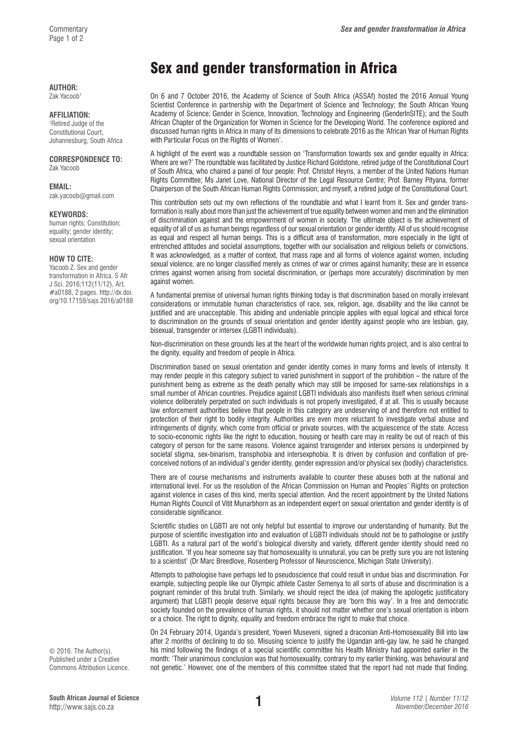#### **AUTHOR:**

Zak Yacoob<sup>1</sup>

#### **AFFILIATION:**

1 Retired Judge of the Constitutional Court, Johannesburg, South Africa

# **CORRESPONDENCE TO:**

Zak Yacoob

#### **EMAIL:**  [zak.yacoob@gmail.com](mailto:zak.yacoob@gmail.com)

## **KEYWORDS:**

human rights; Constitution; equality; gender identity; sexual orientation

## **HOW TO CITE:**

Yacoob Z. Sex and gender transformation in Africa. S Afr J Sci. 2016;112(11/12), Art. #a0188, 2 pages. [http://dx.doi.](http://dx.doi.org/10.17159/sajs.2016/a0188) [org/10.17159/sajs.2016/a0188](http://dx.doi.org/10.17159/sajs.2016/a0188)

# Sex and gender transformation in Africa

On 6 and 7 October 2016, the Academy of Science of South Africa (ASSAf) hosted the 2016 Annual Young Scientist Conference in partnership with the Department of Science and Technology; the South African Young Academy of Science; Gender in Science, Innovation, Technology and Engineering (GenderInSITE); and the South African Chapter of the Organization for Women in Science for the Developing World. The conference explored and discussed human rights in Africa in many of its dimensions to celebrate 2016 as the 'African Year of Human Rights with Particular Focus on the Rights of Women'.

A highlight of the event was a roundtable session on 'Transformation towards sex and gender equality in Africa: Where are we?' The roundtable was facilitated by Justice Richard Goldstone, retired judge of the Constitutional Court of South Africa, who chaired a panel of four people: Prof. Christof Heyns, a member of the United Nations Human Rights Committee; Ms Janet Love, National Director of the Legal Resource Centre; Prof. Barney Pityana, former Chairperson of the South African Human Rights Commission; and myself, a retired judge of the Constitutional Court.

This contribution sets out my own reflections of the roundtable and what I learnt from it. Sex and gender transformation is really about more than just the achievement of true equality between women and men and the elimination of discrimination against and the empowerment of women in society. The ultimate object is the achievement of equality of all of us as human beings regardless of our sexual orientation or gender identity. All of us should recognise as equal and respect all human beings. This is a difficult area of transformation, more especially in the light of entrenched attitudes and societal assumptions, together with our socialisation and religious beliefs or convictions. It was acknowledged, as a matter of context, that mass rape and all forms of violence against women, including sexual violence, are no longer classified merely as crimes of war or crimes against humanity; these are in essence crimes against women arising from societal discrimination, or (perhaps more accurately) discrimination by men against women.

A fundamental premise of universal human rights thinking today is that discrimination based on morally irrelevant considerations or immutable human characteristics of race, sex, religion, age, disability and the like cannot be justified and are unacceptable. This abiding and undeniable principle applies with equal logical and ethical force to discrimination on the grounds of sexual orientation and gender identity against people who are lesbian, gay, bisexual, transgender or intersex (LGBTI individuals).

Non-discrimination on these grounds lies at the heart of the worldwide human rights project, and is also central to the dignity, equality and freedom of people in Africa.

Discrimination based on sexual orientation and gender identity comes in many forms and levels of intensity. It may render people in this category subject to varied punishment in support of the prohibition – the nature of the punishment being as extreme as the death penalty which may still be imposed for same-sex relationships in a small number of African countries. Prejudice against LGBTI individuals also manifests itself when serious criminal violence deliberately perpetrated on such individuals is not properly investigated, if at all. This is usually because law enforcement authorities believe that people in this category are undeserving of and therefore not entitled to protection of their right to bodily integrity. Authorities are even more reluctant to investigate verbal abuse and infringements of dignity, which come from official or private sources, with the acquiescence of the state. Access to socio-economic rights like the right to education, housing or health care may in reality be out of reach of this category of person for the same reasons. Violence against transgender and intersex persons is underpinned by societal stigma, sex-binarism, transphobia and intersexphobia. It is driven by confusion and conflation of preconceived notions of an individual's gender identity, gender expression and/or physical sex (bodily) characteristics.

There are of course mechanisms and instruments available to counter these abuses both at the national and international level. For us the resolution of the African Commission on Human and Peoples' Rights on protection against violence in cases of this kind, merits special attention. And the recent appointment by the United Nations Human Rights Council of Vitit Munarbhorn as an independent expert on sexual orientation and gender identity is of considerable significance.

Scientific studies on LGBTI are not only helpful but essential to improve our understanding of humanity. But the purpose of scientific investigation into and evaluation of LGBTI individuals should not be to pathologise or justify LGBTI. As a natural part of the world's biological diversity and variety, different gender identity should need no justification. 'If you hear someone say that homosexuality is unnatural, you can be pretty sure you are not listening to a scientist' (Dr Marc Breedlove, Rosenberg Professor of Neuroscience, Michigan State University).

Attempts to pathologise have perhaps led to pseudoscience that could result in undue bias and discrimination. For example, subjecting people like our Olympic athlete Caster Semenya to all sorts of abuse and discrimination is a poignant reminder of this brutal truth. Similarly, we should reject the idea (of making the apologetic justificatory argument) that LGBTI people deserve equal rights because they are 'born this way'. In a free and democratic society founded on the prevalence of human rights, it should not matter whether one's sexual orientation is inborn or a choice. The right to dignity, equality and freedom embrace the right to make that choice.

On 24 February 2014, Uganda's president, Yoweri Museveni, signed a draconian Anti-Homosexuality Bill into law after 2 months of declining to do so. Misusing science to justify the Ugandan anti-gay law, he said he changed his mind following the findings of a special scientific committee his Health Ministry had appointed earlier in the month: 'Their unanimous conclusion was that homosexuality, contrary to my earlier thinking, was behavioural and not genetic.' However, one of the members of this committee stated that the report had not made that finding.

© 2016. The Author(s). Published under a Creative Commons Attribution Licence.